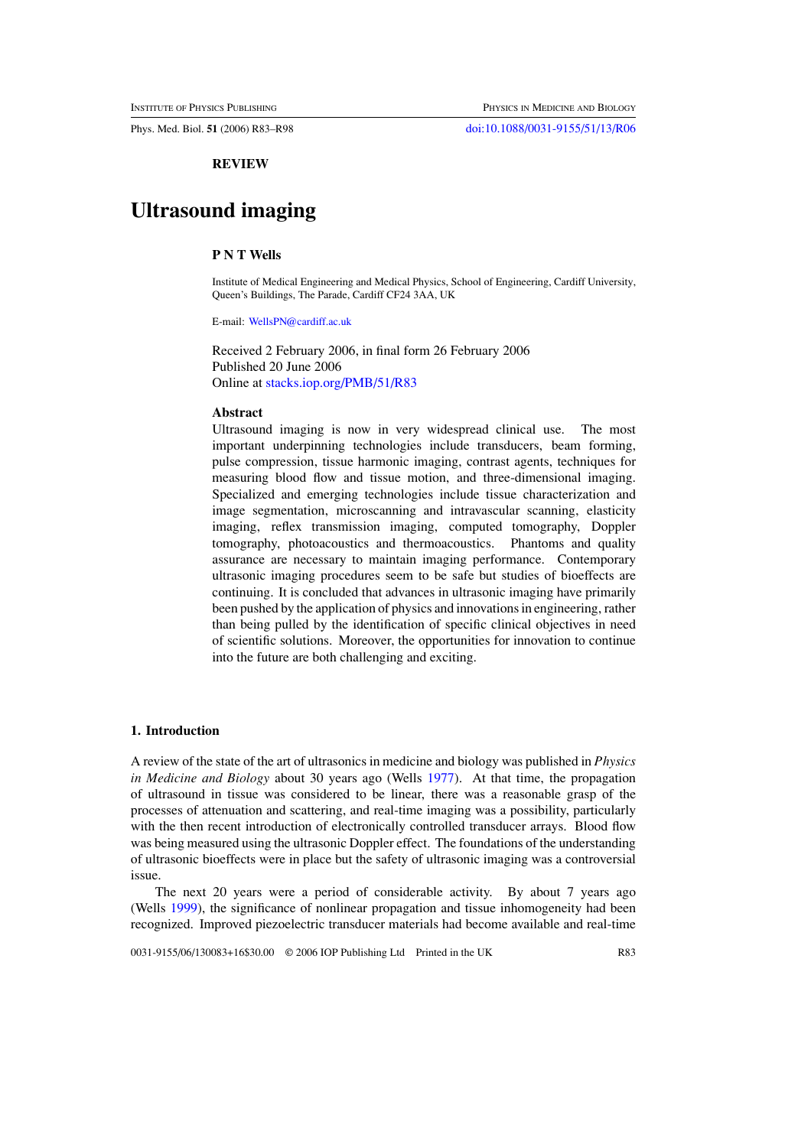Phys. Med. Biol. **51** (2006) R83–R98 [doi:10.1088/0031-9155/51/13/R06](http://dx.doi.org/10.1088/0031-9155/51/13/R06)

**REVIEW**

# **Ultrasound imaging**

# **P N T Wells**

Institute of Medical Engineering and Medical Physics, School of Engineering, Cardiff University, Queen's Buildings, The Parade, Cardiff CF24 3AA, UK

E-mail: [WellsPN@cardiff.ac.uk](mailto:WellsPN@cardiff.ac.uk)

Received 2 February 2006, in final form 26 February 2006 Published 20 June 2006 Online at [stacks.iop.org/PMB/51/R83](http://stacks.iop.org/PMB/51/R83)

# **Abstract**

Ultrasound imaging is now in very widespread clinical use. The most important underpinning technologies include transducers, beam forming, pulse compression, tissue harmonic imaging, contrast agents, techniques for measuring blood flow and tissue motion, and three-dimensional imaging. Specialized and emerging technologies include tissue characterization and image segmentation, microscanning and intravascular scanning, elasticity imaging, reflex transmission imaging, computed tomography, Doppler tomography, photoacoustics and thermoacoustics. Phantoms and quality assurance are necessary to maintain imaging performance. Contemporary ultrasonic imaging procedures seem to be safe but studies of bioeffects are continuing. It is concluded that advances in ultrasonic imaging have primarily been pushed by the application of physics and innovations in engineering, rather than being pulled by the identification of specific clinical objectives in need of scientific solutions. Moreover, the opportunities for innovation to continue into the future are both challenging and exciting.

# **1. Introduction**

A review of the state of the art of ultrasonics in medicine and biology was published in *Physics in Medicine and Biology* about 30 years ago (Wells [1977](#page-15-0)). At that time, the propagation of ultrasound in tissue was considered to be linear, there was a reasonable grasp of the processes of attenuation and scattering, and real-time imaging was a possibility, particularly with the then recent introduction of electronically controlled transducer arrays. Blood flow was being measured using the ultrasonic Doppler effect. The foundations of the understanding of ultrasonic bioeffects were in place but the safety of ultrasonic imaging was a controversial issue.

The next 20 years were a period of considerable activity. By about 7 years ago (Wells [1999\)](#page-15-0), the significance of nonlinear propagation and tissue inhomogeneity had been recognized. Improved piezoelectric transducer materials had become available and real-time

0031-9155/06/130083+16\$30.00 © 2006 IOP Publishing Ltd Printed in the UK R83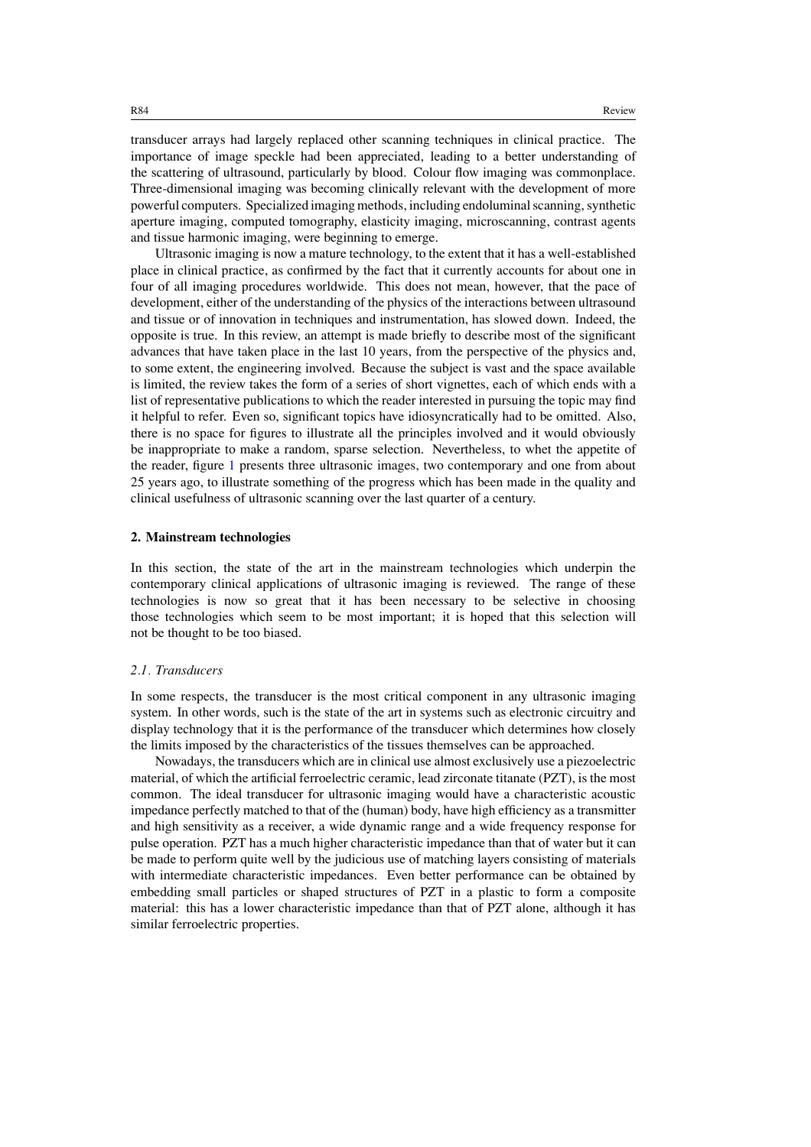<span id="page-1-0"></span>transducer arrays had largely replaced other scanning techniques in clinical practice. The importance of image speckle had been appreciated, leading to a better understanding of the scattering of ultrasound, particularly by blood. Colour flow imaging was commonplace. Three-dimensional imaging was becoming clinically relevant with the development of more powerful computers. Specialized imaging methods, including endoluminal scanning, synthetic aperture imaging, computed tomography, elasticity imaging, microscanning, contrast agents and tissue harmonic imaging, were beginning to emerge.

Ultrasonic imaging is now a mature technology, to the extent that it has a well-established place in clinical practice, as confirmed by the fact that it currently accounts for about one in four of all imaging procedures worldwide. This does not mean, however, that the pace of development, either of the understanding of the physics of the interactions between ultrasound and tissue or of innovation in techniques and instrumentation, has slowed down. Indeed, the opposite is true. In this review, an attempt is made briefly to describe most of the significant advances that have taken place in the last 10 years, from the perspective of the physics and, to some extent, the engineering involved. Because the subject is vast and the space available is limited, the review takes the form of a series of short vignettes, each of which ends with a list of representative publications to which the reader interested in pursuing the topic may find it helpful to refer. Even so, significant topics have idiosyncratically had to be omitted. Also, there is no space for figures to illustrate all the principles involved and it would obviously be inappropriate to make a random, sparse selection. Nevertheless, to whet the appetite of the reader, figure [1](#page-2-0) presents three ultrasonic images, two contemporary and one from about 25 years ago, to illustrate something of the progress which has been made in the quality and clinical usefulness of ultrasonic scanning over the last quarter of a century.

# **2. Mainstream technologies**

In this section, the state of the art in the mainstream technologies which underpin the contemporary clinical applications of ultrasonic imaging is reviewed. The range of these technologies is now so great that it has been necessary to be selective in choosing those technologies which seem to be most important; it is hoped that this selection will not be thought to be too biased.

## *2.1. Transducers*

In some respects, the transducer is the most critical component in any ultrasonic imaging system. In other words, such is the state of the art in systems such as electronic circuitry and display technology that it is the performance of the transducer which determines how closely the limits imposed by the characteristics of the tissues themselves can be approached.

Nowadays, the transducers which are in clinical use almost exclusively use a piezoelectric material, of which the artificial ferroelectric ceramic, lead zirconate titanate (PZT), is the most common. The ideal transducer for ultrasonic imaging would have a characteristic acoustic impedance perfectly matched to that of the (human) body, have high efficiency as a transmitter and high sensitivity as a receiver, a wide dynamic range and a wide frequency response for pulse operation. PZT has a much higher characteristic impedance than that of water but it can be made to perform quite well by the judicious use of matching layers consisting of materials with intermediate characteristic impedances. Even better performance can be obtained by embedding small particles or shaped structures of PZT in a plastic to form a composite material: this has a lower characteristic impedance than that of PZT alone, although it has similar ferroelectric properties.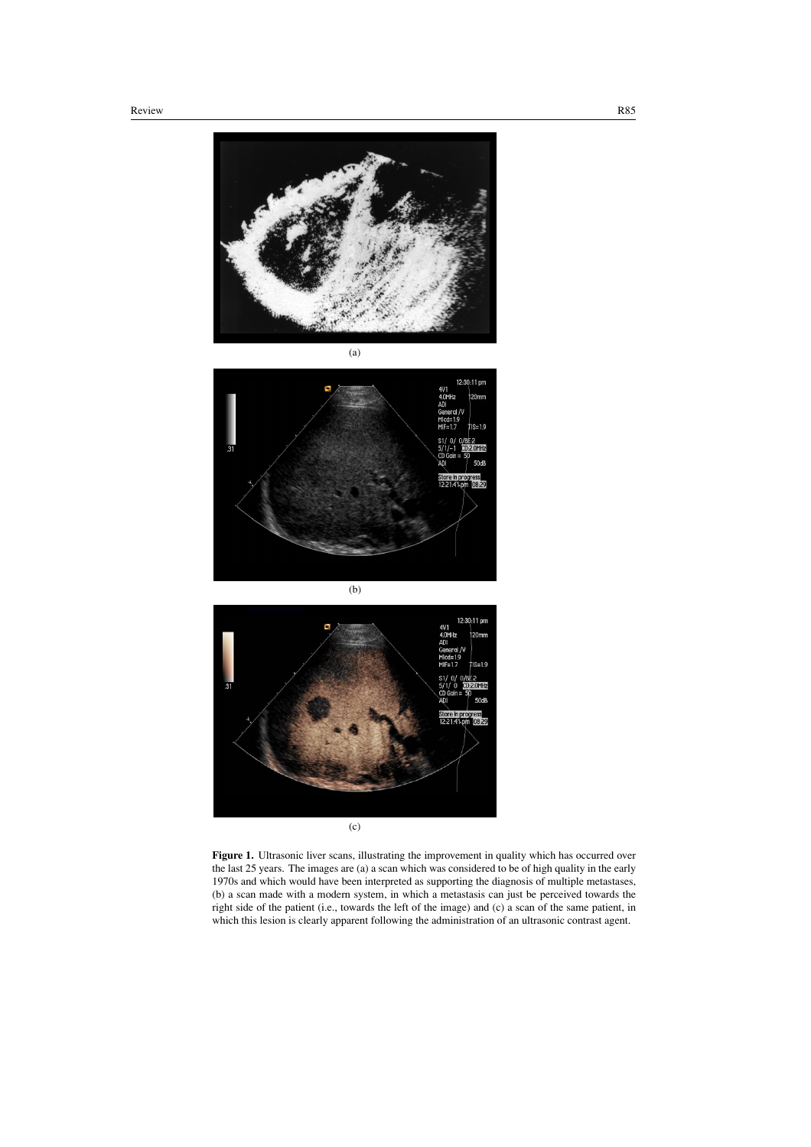<span id="page-2-0"></span>





Figure 1. Ultrasonic liver scans, illustrating the improvement in quality which has occurred over the last 25 years. The images are (a) a scan which was considered to be of high quality in the early 1970s and which would have been interpreted as supporting the diagnosis of multiple metastases, (b) a scan made with a modern system, in which a metastasis can just be perceived towards the right side of the patient (i.e., towards the left of the image) and (c) a scan of the same patient, in which this lesion is clearly apparent following the administration of an ultrasonic contrast agent.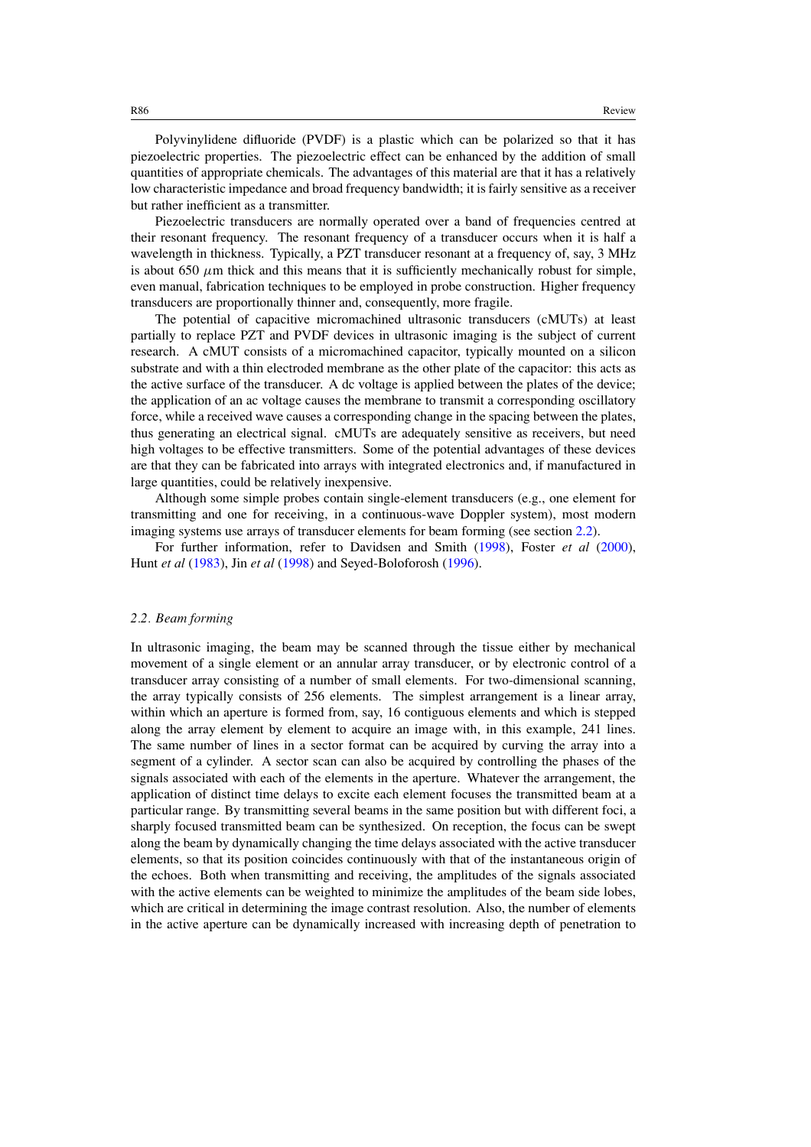<span id="page-3-0"></span>Polyvinylidene difluoride (PVDF) is a plastic which can be polarized so that it has piezoelectric properties. The piezoelectric effect can be enhanced by the addition of small quantities of appropriate chemicals. The advantages of this material are that it has a relatively low characteristic impedance and broad frequency bandwidth; it is fairly sensitive as a receiver but rather inefficient as a transmitter.

Piezoelectric transducers are normally operated over a band of frequencies centred at their resonant frequency. The resonant frequency of a transducer occurs when it is half a wavelength in thickness. Typically, a PZT transducer resonant at a frequency of, say, 3 MHz is about 650  $\mu$ m thick and this means that it is sufficiently mechanically robust for simple, even manual, fabrication techniques to be employed in probe construction. Higher frequency transducers are proportionally thinner and, consequently, more fragile.

The potential of capacitive micromachined ultrasonic transducers (cMUTs) at least partially to replace PZT and PVDF devices in ultrasonic imaging is the subject of current research. A cMUT consists of a micromachined capacitor, typically mounted on a silicon substrate and with a thin electroded membrane as the other plate of the capacitor: this acts as the active surface of the transducer. A dc voltage is applied between the plates of the device; the application of an ac voltage causes the membrane to transmit a corresponding oscillatory force, while a received wave causes a corresponding change in the spacing between the plates, thus generating an electrical signal. cMUTs are adequately sensitive as receivers, but need high voltages to be effective transmitters. Some of the potential advantages of these devices are that they can be fabricated into arrays with integrated electronics and, if manufactured in large quantities, could be relatively inexpensive.

Although some simple probes contain single-element transducers (e.g., one element for transmitting and one for receiving, in a continuous-wave Doppler system), most modern imaging systems use arrays of transducer elements for beam forming (see section 2.2).

For further information, refer to Davidsen and Smith [\(1998\)](#page-13-0), Foster *et al* [\(2000\)](#page-13-0), Hunt *et al* [\(1983\)](#page-14-0), Jin *et al* [\(1998](#page-14-0)) and Seyed-Boloforosh [\(1996\)](#page-15-0).

## *2.2. Beam forming*

In ultrasonic imaging, the beam may be scanned through the tissue either by mechanical movement of a single element or an annular array transducer, or by electronic control of a transducer array consisting of a number of small elements. For two-dimensional scanning, the array typically consists of 256 elements. The simplest arrangement is a linear array, within which an aperture is formed from, say, 16 contiguous elements and which is stepped along the array element by element to acquire an image with, in this example, 241 lines. The same number of lines in a sector format can be acquired by curving the array into a segment of a cylinder. A sector scan can also be acquired by controlling the phases of the signals associated with each of the elements in the aperture. Whatever the arrangement, the application of distinct time delays to excite each element focuses the transmitted beam at a particular range. By transmitting several beams in the same position but with different foci, a sharply focused transmitted beam can be synthesized. On reception, the focus can be swept along the beam by dynamically changing the time delays associated with the active transducer elements, so that its position coincides continuously with that of the instantaneous origin of the echoes. Both when transmitting and receiving, the amplitudes of the signals associated with the active elements can be weighted to minimize the amplitudes of the beam side lobes, which are critical in determining the image contrast resolution. Also, the number of elements in the active aperture can be dynamically increased with increasing depth of penetration to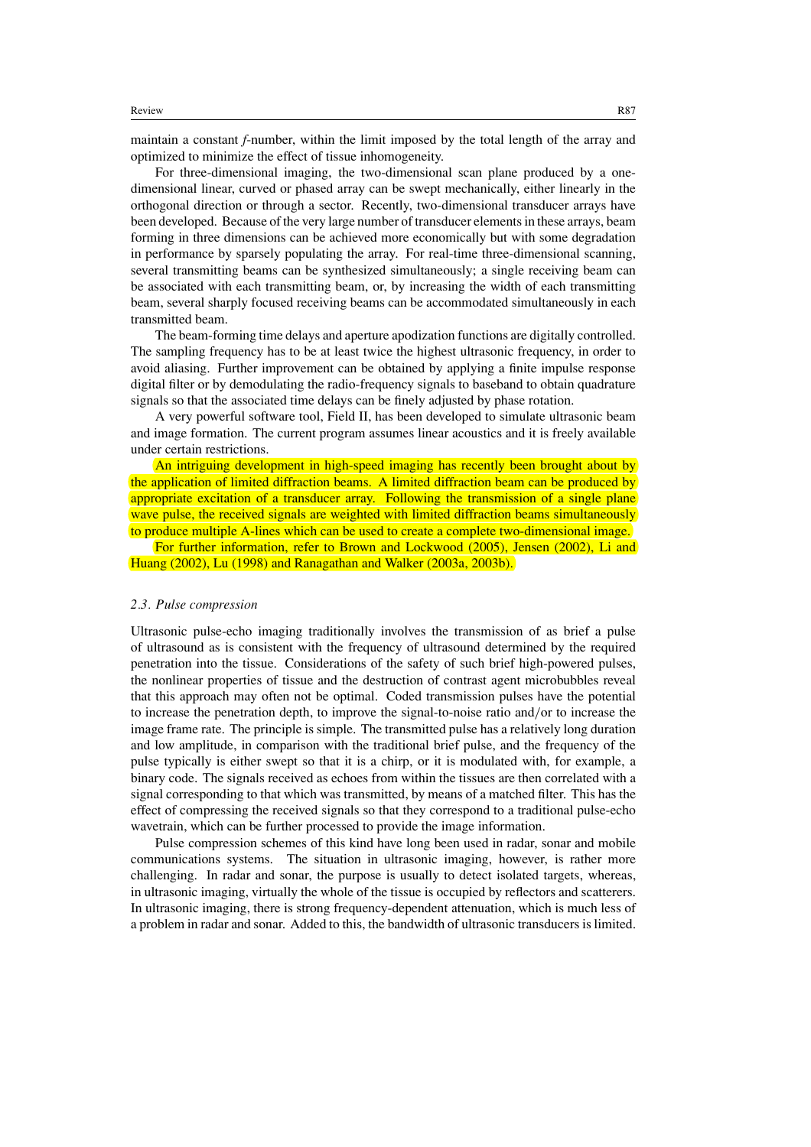maintain a constant *f*-number, within the limit imposed by the total length of the array and optimized to minimize the effect of tissue inhomogeneity.

For three-dimensional imaging, the two-dimensional scan plane produced by a onedimensional linear, curved or phased array can be swept mechanically, either linearly in the orthogonal direction or through a sector. Recently, two-dimensional transducer arrays have been developed. Because of the very large number of transducer elements in these arrays, beam forming in three dimensions can be achieved more economically but with some degradation in performance by sparsely populating the array. For real-time three-dimensional scanning, several transmitting beams can be synthesized simultaneously; a single receiving beam can be associated with each transmitting beam, or, by increasing the width of each transmitting beam, several sharply focused receiving beams can be accommodated simultaneously in each transmitted beam.

The beam-forming time delays and aperture apodization functions are digitally controlled. The sampling frequency has to be at least twice the highest ultrasonic frequency, in order to avoid aliasing. Further improvement can be obtained by applying a finite impulse response digital filter or by demodulating the radio-frequency signals to baseband to obtain quadrature signals so that the associated time delays can be finely adjusted by phase rotation.

A very powerful software tool, Field II, has been developed to simulate ultrasonic beam and image formation. The current program assumes linear acoustics and it is freely available under certain restrictions.

An intriguing development in high-speed imaging has recently been brought about by the application of limited diffraction beams. A limited diffraction beam can be produced by appropriate excitation of a transducer array. Following the transmission of a single plane wave pulse, the received signals are weighted with limited diffraction beams simultaneously to produce multiple A-lines which can be used to create a complete two-dimensional image.

For further information, refer to Brown and Lockwood [\(2005\)](#page-13-0), Jensen [\(2002](#page-14-0)), Li and Huang [\(2002](#page-14-0)), Lu [\(1998](#page-14-0)) and Ranagathan and Walker [\(2003a,](#page-14-0) [2003b\)](#page-14-0).

#### *2.3. Pulse compression*

Ultrasonic pulse-echo imaging traditionally involves the transmission of as brief a pulse of ultrasound as is consistent with the frequency of ultrasound determined by the required penetration into the tissue. Considerations of the safety of such brief high-powered pulses, the nonlinear properties of tissue and the destruction of contrast agent microbubbles reveal that this approach may often not be optimal. Coded transmission pulses have the potential to increase the penetration depth, to improve the signal-to-noise ratio and*/*or to increase the image frame rate. The principle is simple. The transmitted pulse has a relatively long duration and low amplitude, in comparison with the traditional brief pulse, and the frequency of the pulse typically is either swept so that it is a chirp, or it is modulated with, for example, a binary code. The signals received as echoes from within the tissues are then correlated with a signal corresponding to that which was transmitted, by means of a matched filter. This has the effect of compressing the received signals so that they correspond to a traditional pulse-echo wavetrain, which can be further processed to provide the image information.

Pulse compression schemes of this kind have long been used in radar, sonar and mobile communications systems. The situation in ultrasonic imaging, however, is rather more challenging. In radar and sonar, the purpose is usually to detect isolated targets, whereas, in ultrasonic imaging, virtually the whole of the tissue is occupied by reflectors and scatterers. In ultrasonic imaging, there is strong frequency-dependent attenuation, which is much less of a problem in radar and sonar. Added to this, the bandwidth of ultrasonic transducers is limited.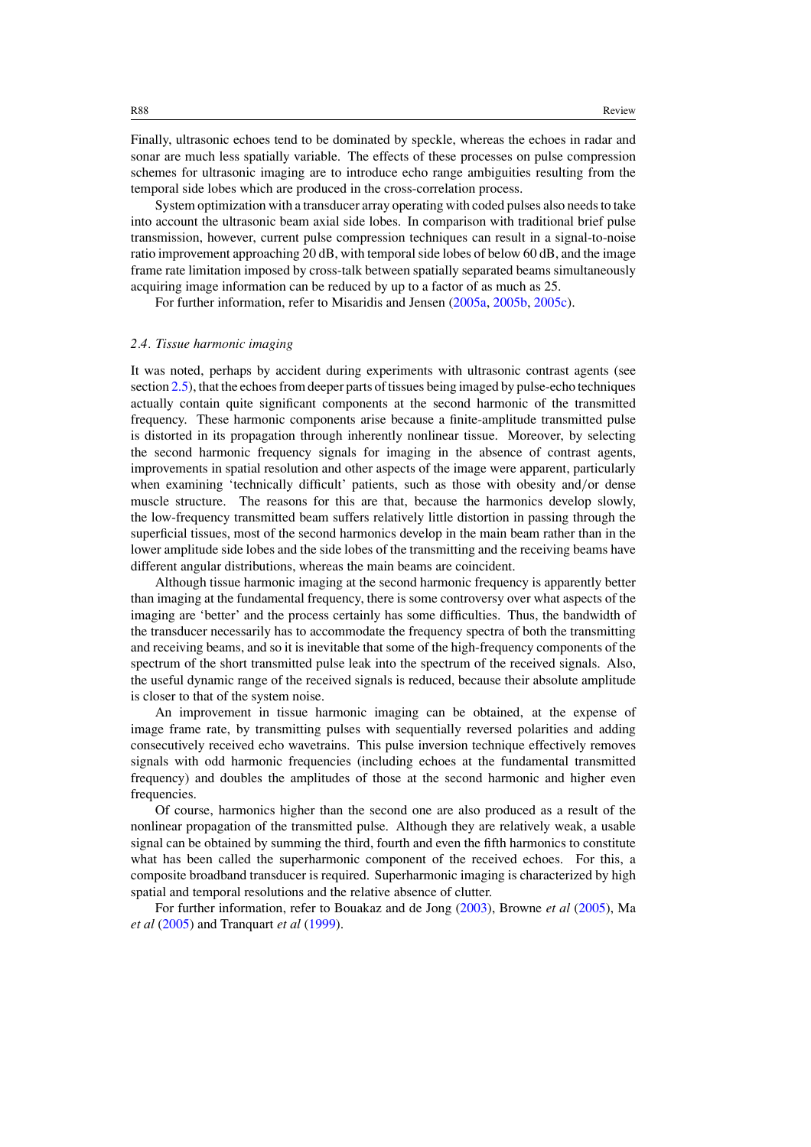<span id="page-5-0"></span>Finally, ultrasonic echoes tend to be dominated by speckle, whereas the echoes in radar and sonar are much less spatially variable. The effects of these processes on pulse compression schemes for ultrasonic imaging are to introduce echo range ambiguities resulting from the temporal side lobes which are produced in the cross-correlation process.

System optimization with a transducer array operating with coded pulses also needs to take into account the ultrasonic beam axial side lobes. In comparison with traditional brief pulse transmission, however, current pulse compression techniques can result in a signal-to-noise ratio improvement approaching 20 dB, with temporal side lobes of below 60 dB, and the image frame rate limitation imposed by cross-talk between spatially separated beams simultaneously acquiring image information can be reduced by up to a factor of as much as 25.

For further information, refer to Misaridis and Jensen [\(2005a,](#page-14-0) [2005b,](#page-14-0) [2005c](#page-14-0)).

# *2.4. Tissue harmonic imaging*

It was noted, perhaps by accident during experiments with ultrasonic contrast agents (see section [2.5\)](#page-6-0), that the echoes from deeper parts of tissues being imaged by pulse-echo techniques actually contain quite significant components at the second harmonic of the transmitted frequency. These harmonic components arise because a finite-amplitude transmitted pulse is distorted in its propagation through inherently nonlinear tissue. Moreover, by selecting the second harmonic frequency signals for imaging in the absence of contrast agents, improvements in spatial resolution and other aspects of the image were apparent, particularly when examining 'technically difficult' patients, such as those with obesity and*/*or dense muscle structure. The reasons for this are that, because the harmonics develop slowly, the low-frequency transmitted beam suffers relatively little distortion in passing through the superficial tissues, most of the second harmonics develop in the main beam rather than in the lower amplitude side lobes and the side lobes of the transmitting and the receiving beams have different angular distributions, whereas the main beams are coincident.

Although tissue harmonic imaging at the second harmonic frequency is apparently better than imaging at the fundamental frequency, there is some controversy over what aspects of the imaging are 'better' and the process certainly has some difficulties. Thus, the bandwidth of the transducer necessarily has to accommodate the frequency spectra of both the transmitting and receiving beams, and so it is inevitable that some of the high-frequency components of the spectrum of the short transmitted pulse leak into the spectrum of the received signals. Also, the useful dynamic range of the received signals is reduced, because their absolute amplitude is closer to that of the system noise.

An improvement in tissue harmonic imaging can be obtained, at the expense of image frame rate, by transmitting pulses with sequentially reversed polarities and adding consecutively received echo wavetrains. This pulse inversion technique effectively removes signals with odd harmonic frequencies (including echoes at the fundamental transmitted frequency) and doubles the amplitudes of those at the second harmonic and higher even frequencies.

Of course, harmonics higher than the second one are also produced as a result of the nonlinear propagation of the transmitted pulse. Although they are relatively weak, a usable signal can be obtained by summing the third, fourth and even the fifth harmonics to constitute what has been called the superharmonic component of the received echoes. For this, a composite broadband transducer is required. Superharmonic imaging is characterized by high spatial and temporal resolutions and the relative absence of clutter.

For further information, refer to Bouakaz and de Jong [\(2003\)](#page-13-0), Browne *et al* [\(2005](#page-13-0)), Ma *et al* [\(2005](#page-14-0)) and Tranquart *et al* [\(1999](#page-15-0)).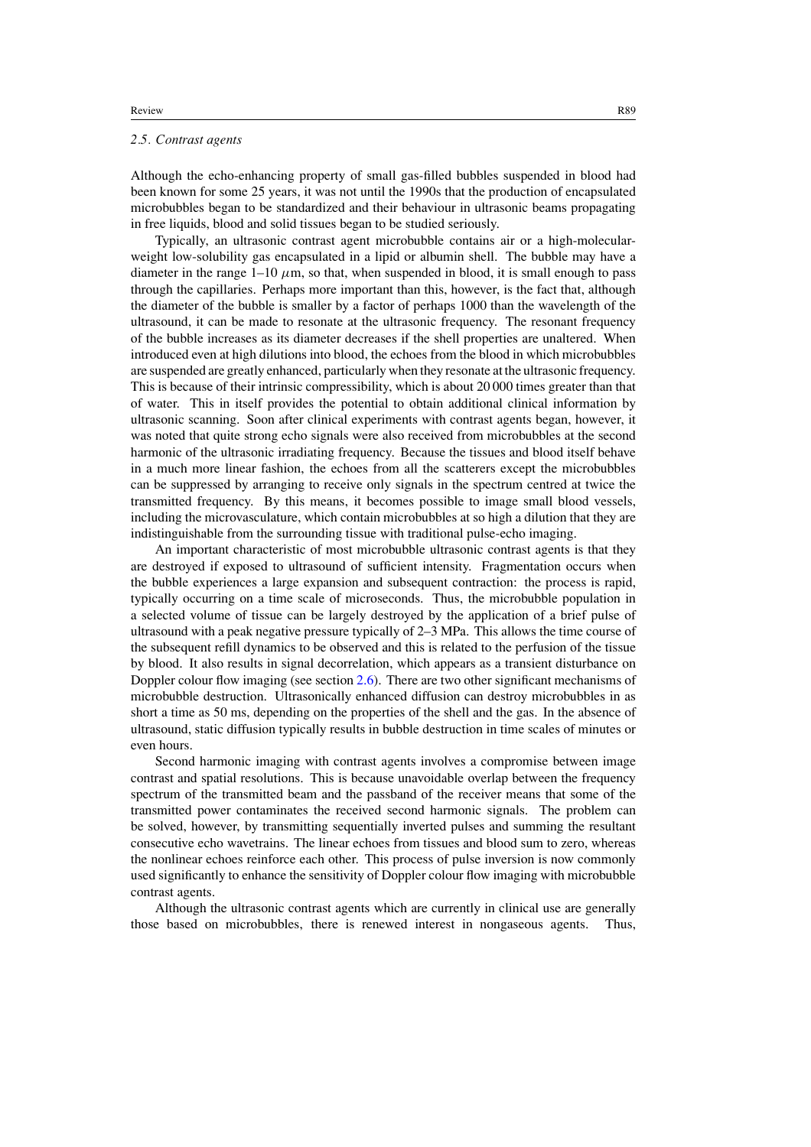### <span id="page-6-0"></span>*2.5. Contrast agents*

Although the echo-enhancing property of small gas-filled bubbles suspended in blood had been known for some 25 years, it was not until the 1990s that the production of encapsulated microbubbles began to be standardized and their behaviour in ultrasonic beams propagating in free liquids, blood and solid tissues began to be studied seriously.

Typically, an ultrasonic contrast agent microbubble contains air or a high-molecularweight low-solubility gas encapsulated in a lipid or albumin shell. The bubble may have a diameter in the range  $1-10 \mu m$ , so that, when suspended in blood, it is small enough to pass through the capillaries. Perhaps more important than this, however, is the fact that, although the diameter of the bubble is smaller by a factor of perhaps 1000 than the wavelength of the ultrasound, it can be made to resonate at the ultrasonic frequency. The resonant frequency of the bubble increases as its diameter decreases if the shell properties are unaltered. When introduced even at high dilutions into blood, the echoes from the blood in which microbubbles are suspended are greatly enhanced, particularly when they resonate at the ultrasonic frequency. This is because of their intrinsic compressibility, which is about 20 000 times greater than that of water. This in itself provides the potential to obtain additional clinical information by ultrasonic scanning. Soon after clinical experiments with contrast agents began, however, it was noted that quite strong echo signals were also received from microbubbles at the second harmonic of the ultrasonic irradiating frequency. Because the tissues and blood itself behave in a much more linear fashion, the echoes from all the scatterers except the microbubbles can be suppressed by arranging to receive only signals in the spectrum centred at twice the transmitted frequency. By this means, it becomes possible to image small blood vessels, including the microvasculature, which contain microbubbles at so high a dilution that they are indistinguishable from the surrounding tissue with traditional pulse-echo imaging.

An important characteristic of most microbubble ultrasonic contrast agents is that they are destroyed if exposed to ultrasound of sufficient intensity. Fragmentation occurs when the bubble experiences a large expansion and subsequent contraction: the process is rapid, typically occurring on a time scale of microseconds. Thus, the microbubble population in a selected volume of tissue can be largely destroyed by the application of a brief pulse of ultrasound with a peak negative pressure typically of 2–3 MPa. This allows the time course of the subsequent refill dynamics to be observed and this is related to the perfusion of the tissue by blood. It also results in signal decorrelation, which appears as a transient disturbance on Doppler colour flow imaging (see section [2.6\)](#page-7-0). There are two other significant mechanisms of microbubble destruction. Ultrasonically enhanced diffusion can destroy microbubbles in as short a time as 50 ms, depending on the properties of the shell and the gas. In the absence of ultrasound, static diffusion typically results in bubble destruction in time scales of minutes or even hours.

Second harmonic imaging with contrast agents involves a compromise between image contrast and spatial resolutions. This is because unavoidable overlap between the frequency spectrum of the transmitted beam and the passband of the receiver means that some of the transmitted power contaminates the received second harmonic signals. The problem can be solved, however, by transmitting sequentially inverted pulses and summing the resultant consecutive echo wavetrains. The linear echoes from tissues and blood sum to zero, whereas the nonlinear echoes reinforce each other. This process of pulse inversion is now commonly used significantly to enhance the sensitivity of Doppler colour flow imaging with microbubble contrast agents.

Although the ultrasonic contrast agents which are currently in clinical use are generally those based on microbubbles, there is renewed interest in nongaseous agents.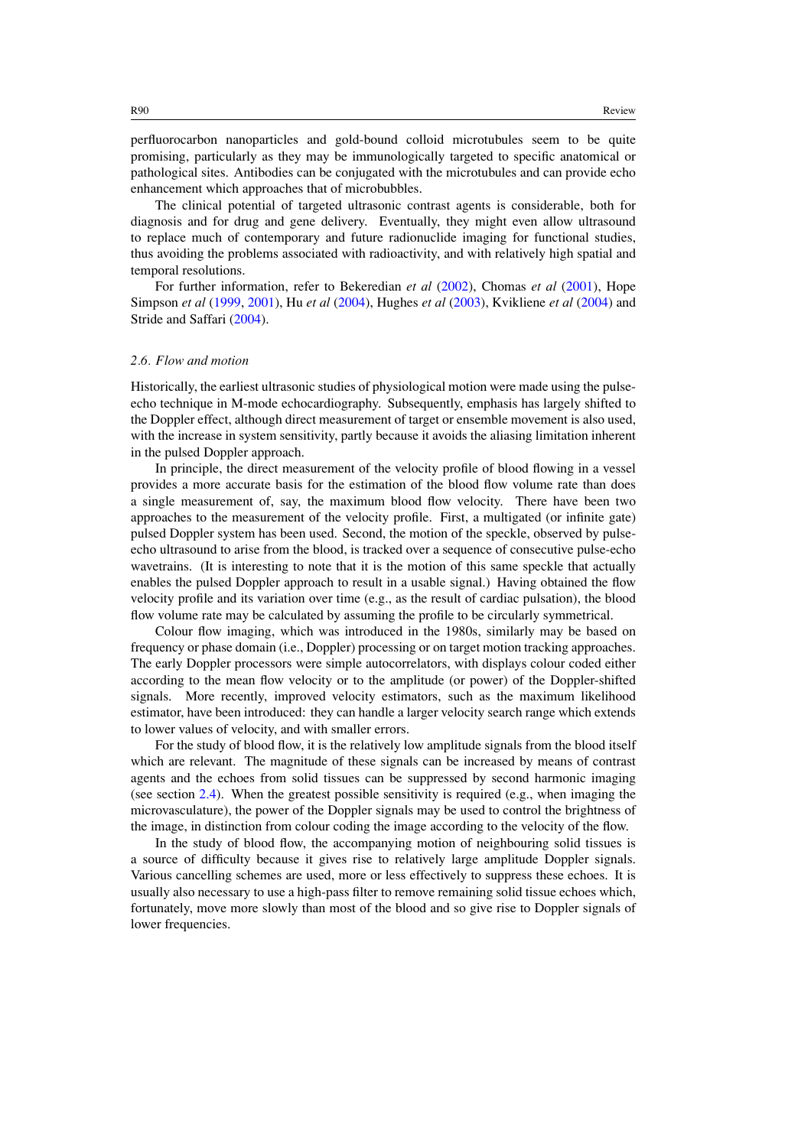<span id="page-7-0"></span>perfluorocarbon nanoparticles and gold-bound colloid microtubules seem to be quite promising, particularly as they may be immunologically targeted to specific anatomical or pathological sites. Antibodies can be conjugated with the microtubules and can provide echo enhancement which approaches that of microbubbles.

The clinical potential of targeted ultrasonic contrast agents is considerable, both for diagnosis and for drug and gene delivery. Eventually, they might even allow ultrasound to replace much of contemporary and future radionuclide imaging for functional studies, thus avoiding the problems associated with radioactivity, and with relatively high spatial and temporal resolutions.

For further information, refer to Bekeredian *et al* [\(2002\)](#page-13-0), Chomas *et al* [\(2001](#page-13-0)), Hope Simpson *et al* [\(1999,](#page-13-0) [2001\)](#page-13-0), Hu *et al* [\(2004](#page-13-0)), Hughes *et al* [\(2003\)](#page-13-0), Kvikliene *et al* [\(2004](#page-14-0)) and Stride and Saffari [\(2004\)](#page-15-0).

#### *2.6. Flow and motion*

Historically, the earliest ultrasonic studies of physiological motion were made using the pulseecho technique in M-mode echocardiography. Subsequently, emphasis has largely shifted to the Doppler effect, although direct measurement of target or ensemble movement is also used, with the increase in system sensitivity, partly because it avoids the aliasing limitation inherent in the pulsed Doppler approach.

In principle, the direct measurement of the velocity profile of blood flowing in a vessel provides a more accurate basis for the estimation of the blood flow volume rate than does a single measurement of, say, the maximum blood flow velocity. There have been two approaches to the measurement of the velocity profile. First, a multigated (or infinite gate) pulsed Doppler system has been used. Second, the motion of the speckle, observed by pulseecho ultrasound to arise from the blood, is tracked over a sequence of consecutive pulse-echo wavetrains. (It is interesting to note that it is the motion of this same speckle that actually enables the pulsed Doppler approach to result in a usable signal.) Having obtained the flow velocity profile and its variation over time (e.g., as the result of cardiac pulsation), the blood flow volume rate may be calculated by assuming the profile to be circularly symmetrical.

Colour flow imaging, which was introduced in the 1980s, similarly may be based on frequency or phase domain (i.e., Doppler) processing or on target motion tracking approaches. The early Doppler processors were simple autocorrelators, with displays colour coded either according to the mean flow velocity or to the amplitude (or power) of the Doppler-shifted signals. More recently, improved velocity estimators, such as the maximum likelihood estimator, have been introduced: they can handle a larger velocity search range which extends to lower values of velocity, and with smaller errors.

For the study of blood flow, it is the relatively low amplitude signals from the blood itself which are relevant. The magnitude of these signals can be increased by means of contrast agents and the echoes from solid tissues can be suppressed by second harmonic imaging (see section [2.4\)](#page-5-0). When the greatest possible sensitivity is required (e.g., when imaging the microvasculature), the power of the Doppler signals may be used to control the brightness of the image, in distinction from colour coding the image according to the velocity of the flow.

In the study of blood flow, the accompanying motion of neighbouring solid tissues is a source of difficulty because it gives rise to relatively large amplitude Doppler signals. Various cancelling schemes are used, more or less effectively to suppress these echoes. It is usually also necessary to use a high-pass filter to remove remaining solid tissue echoes which, fortunately, move more slowly than most of the blood and so give rise to Doppler signals of lower frequencies.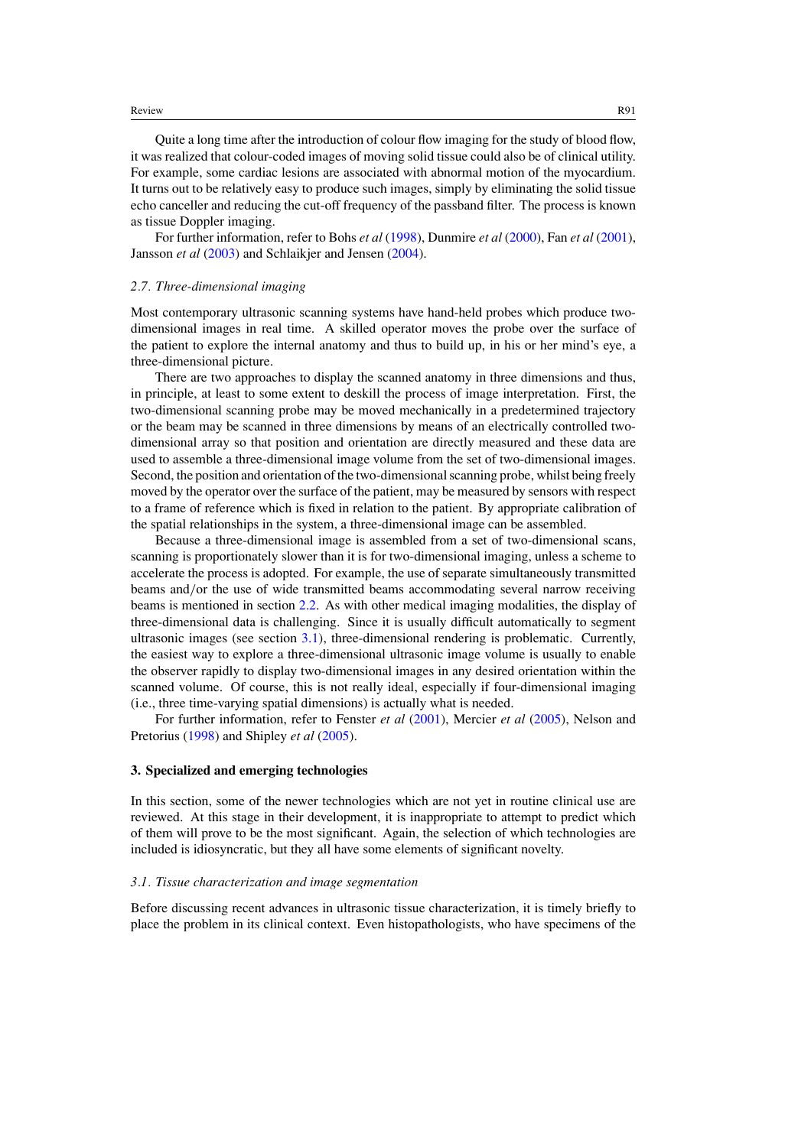Quite a long time after the introduction of colour flow imaging for the study of blood flow, it was realized that colour-coded images of moving solid tissue could also be of clinical utility. For example, some cardiac lesions are associated with abnormal motion of the myocardium. It turns out to be relatively easy to produce such images, simply by eliminating the solid tissue echo canceller and reducing the cut-off frequency of the passband filter. The process is known as tissue Doppler imaging.

For further information, refer to Bohs *et al* [\(1998\)](#page-13-0), Dunmire *et al* [\(2000\)](#page-13-0), Fan *et al* [\(2001\)](#page-13-0), Jansson *et al* [\(2003\)](#page-14-0) and Schlaikjer and Jensen [\(2004](#page-14-0)).

#### *2.7. Three-dimensional imaging*

Most contemporary ultrasonic scanning systems have hand-held probes which produce twodimensional images in real time. A skilled operator moves the probe over the surface of the patient to explore the internal anatomy and thus to build up, in his or her mind's eye, a three-dimensional picture.

There are two approaches to display the scanned anatomy in three dimensions and thus, in principle, at least to some extent to deskill the process of image interpretation. First, the two-dimensional scanning probe may be moved mechanically in a predetermined trajectory or the beam may be scanned in three dimensions by means of an electrically controlled twodimensional array so that position and orientation are directly measured and these data are used to assemble a three-dimensional image volume from the set of two-dimensional images. Second, the position and orientation of the two-dimensional scanning probe, whilst being freely moved by the operator over the surface of the patient, may be measured by sensors with respect to a frame of reference which is fixed in relation to the patient. By appropriate calibration of the spatial relationships in the system, a three-dimensional image can be assembled.

Because a three-dimensional image is assembled from a set of two-dimensional scans, scanning is proportionately slower than it is for two-dimensional imaging, unless a scheme to accelerate the process is adopted. For example, the use of separate simultaneously transmitted beams and*/*or the use of wide transmitted beams accommodating several narrow receiving beams is mentioned in section [2.2.](#page-3-0) As with other medical imaging modalities, the display of three-dimensional data is challenging. Since it is usually difficult automatically to segment ultrasonic images (see section  $3.1$ ), three-dimensional rendering is problematic. Currently, the easiest way to explore a three-dimensional ultrasonic image volume is usually to enable the observer rapidly to display two-dimensional images in any desired orientation within the scanned volume. Of course, this is not really ideal, especially if four-dimensional imaging (i.e., three time-varying spatial dimensions) is actually what is needed.

For further information, refer to Fenster *et al* [\(2001](#page-13-0)), Mercier *et al* [\(2005\)](#page-14-0), Nelson and Pretorius [\(1998\)](#page-14-0) and Shipley *et al* [\(2005](#page-15-0)).

# **3. Specialized and emerging technologies**

In this section, some of the newer technologies which are not yet in routine clinical use are reviewed. At this stage in their development, it is inappropriate to attempt to predict which of them will prove to be the most significant. Again, the selection of which technologies are included is idiosyncratic, but they all have some elements of significant novelty.

#### *3.1. Tissue characterization and image segmentation*

Before discussing recent advances in ultrasonic tissue characterization, it is timely briefly to place the problem in its clinical context. Even histopathologists, who have specimens of the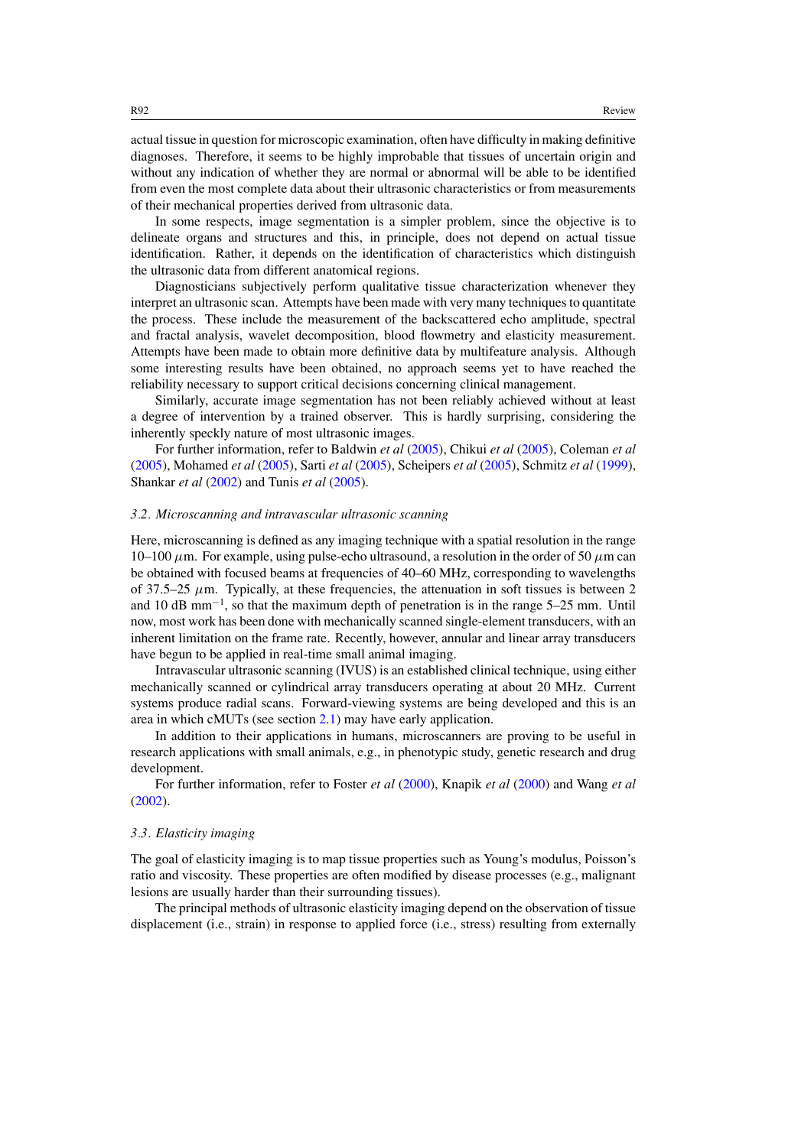actual tissue in question for microscopic examination, often have difficulty in making definitive diagnoses. Therefore, it seems to be highly improbable that tissues of uncertain origin and without any indication of whether they are normal or abnormal will be able to be identified from even the most complete data about their ultrasonic characteristics or from measurements of their mechanical properties derived from ultrasonic data.

In some respects, image segmentation is a simpler problem, since the objective is to delineate organs and structures and this, in principle, does not depend on actual tissue identification. Rather, it depends on the identification of characteristics which distinguish the ultrasonic data from different anatomical regions.

Diagnosticians subjectively perform qualitative tissue characterization whenever they interpret an ultrasonic scan. Attempts have been made with very many techniques to quantitate the process. These include the measurement of the backscattered echo amplitude, spectral and fractal analysis, wavelet decomposition, blood flowmetry and elasticity measurement. Attempts have been made to obtain more definitive data by multifeature analysis. Although some interesting results have been obtained, no approach seems yet to have reached the reliability necessary to support critical decisions concerning clinical management.

Similarly, accurate image segmentation has not been reliably achieved without at least a degree of intervention by a trained observer. This is hardly surprising, considering the inherently speckly nature of most ultrasonic images.

For further information, refer to Baldwin *et al* [\(2005\)](#page-12-0), Chikui *et al* [\(2005\)](#page-13-0), Coleman *et al* [\(2005](#page-13-0)), Mohamed *et al* [\(2005](#page-14-0)), Sarti *et al* [\(2005\)](#page-14-0), Scheipers *et al* [\(2005](#page-14-0)), Schmitz *et al* [\(1999\)](#page-15-0), Shankar *et al* [\(2002](#page-15-0)) and Tunis *et al* [\(2005\)](#page-15-0).

# *3.2. Microscanning and intravascular ultrasonic scanning*

Here, microscanning is defined as any imaging technique with a spatial resolution in the range 10–100  $\mu$ m. For example, using pulse-echo ultrasound, a resolution in the order of 50  $\mu$ m can be obtained with focused beams at frequencies of 40–60 MHz, corresponding to wavelengths of 37.5–25  $\mu$ m. Typically, at these frequencies, the attenuation in soft tissues is between 2 and 10 dB mm−<sup>1</sup> , so that the maximum depth of penetration is in the range 5–25 mm. Until now, most work has been done with mechanically scanned single-element transducers, with an inherent limitation on the frame rate. Recently, however, annular and linear array transducers have begun to be applied in real-time small animal imaging.

Intravascular ultrasonic scanning (IVUS) is an established clinical technique, using either mechanically scanned or cylindrical array transducers operating at about 20 MHz. Current systems produce radial scans. Forward-viewing systems are being developed and this is an area in which cMUTs (see section [2.1\)](#page-1-0) may have early application.

In addition to their applications in humans, microscanners are proving to be useful in research applications with small animals, e.g., in phenotypic study, genetic research and drug development.

For further information, refer to Foster *et al* [\(2000\)](#page-13-0), Knapik *et al* [\(2000\)](#page-14-0) and Wang *et al* [\(2002](#page-15-0)).

# *3.3. Elasticity imaging*

The goal of elasticity imaging is to map tissue properties such as Young's modulus, Poisson's ratio and viscosity. These properties are often modified by disease processes (e.g., malignant lesions are usually harder than their surrounding tissues).

The principal methods of ultrasonic elasticity imaging depend on the observation of tissue displacement (i.e., strain) in response to applied force (i.e., stress) resulting from externally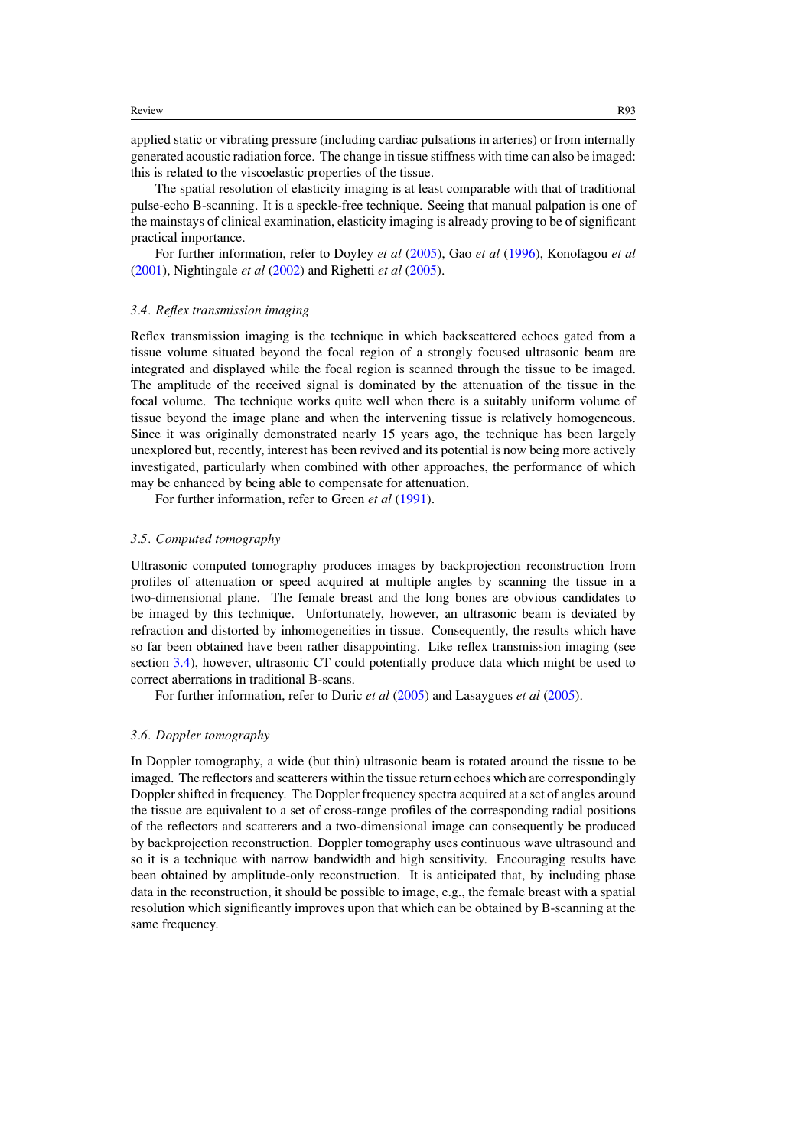applied static or vibrating pressure (including cardiac pulsations in arteries) or from internally generated acoustic radiation force. The change in tissue stiffness with time can also be imaged: this is related to the viscoelastic properties of the tissue.

The spatial resolution of elasticity imaging is at least comparable with that of traditional pulse-echo B-scanning. It is a speckle-free technique. Seeing that manual palpation is one of the mainstays of clinical examination, elasticity imaging is already proving to be of significant practical importance.

For further information, refer to Doyley *et al* [\(2005\)](#page-13-0), Gao *et al* [\(1996\)](#page-13-0), Konofagou *et al* [\(2001](#page-14-0)), Nightingale *et al* [\(2002](#page-14-0)) and Righetti *et al* [\(2005\)](#page-14-0).

# *3.4. Reflex transmission imaging*

Reflex transmission imaging is the technique in which backscattered echoes gated from a tissue volume situated beyond the focal region of a strongly focused ultrasonic beam are integrated and displayed while the focal region is scanned through the tissue to be imaged. The amplitude of the received signal is dominated by the attenuation of the tissue in the focal volume. The technique works quite well when there is a suitably uniform volume of tissue beyond the image plane and when the intervening tissue is relatively homogeneous. Since it was originally demonstrated nearly 15 years ago, the technique has been largely unexplored but, recently, interest has been revived and its potential is now being more actively investigated, particularly when combined with other approaches, the performance of which may be enhanced by being able to compensate for attenuation.

For further information, refer to Green *et al* [\(1991](#page-13-0)).

# *3.5. Computed tomography*

Ultrasonic computed tomography produces images by backprojection reconstruction from profiles of attenuation or speed acquired at multiple angles by scanning the tissue in a two-dimensional plane. The female breast and the long bones are obvious candidates to be imaged by this technique. Unfortunately, however, an ultrasonic beam is deviated by refraction and distorted by inhomogeneities in tissue. Consequently, the results which have so far been obtained have been rather disappointing. Like reflex transmission imaging (see section 3.4), however, ultrasonic CT could potentially produce data which might be used to correct aberrations in traditional B-scans.

For further information, refer to Duric *et al* [\(2005\)](#page-13-0) and Lasaygues *et al* [\(2005\)](#page-14-0).

# *3.6. Doppler tomography*

In Doppler tomography, a wide (but thin) ultrasonic beam is rotated around the tissue to be imaged. The reflectors and scatterers within the tissue return echoes which are correspondingly Doppler shifted in frequency. The Doppler frequency spectra acquired at a set of angles around the tissue are equivalent to a set of cross-range profiles of the corresponding radial positions of the reflectors and scatterers and a two-dimensional image can consequently be produced by backprojection reconstruction. Doppler tomography uses continuous wave ultrasound and so it is a technique with narrow bandwidth and high sensitivity. Encouraging results have been obtained by amplitude-only reconstruction. It is anticipated that, by including phase data in the reconstruction, it should be possible to image, e.g., the female breast with a spatial resolution which significantly improves upon that which can be obtained by B-scanning at the same frequency.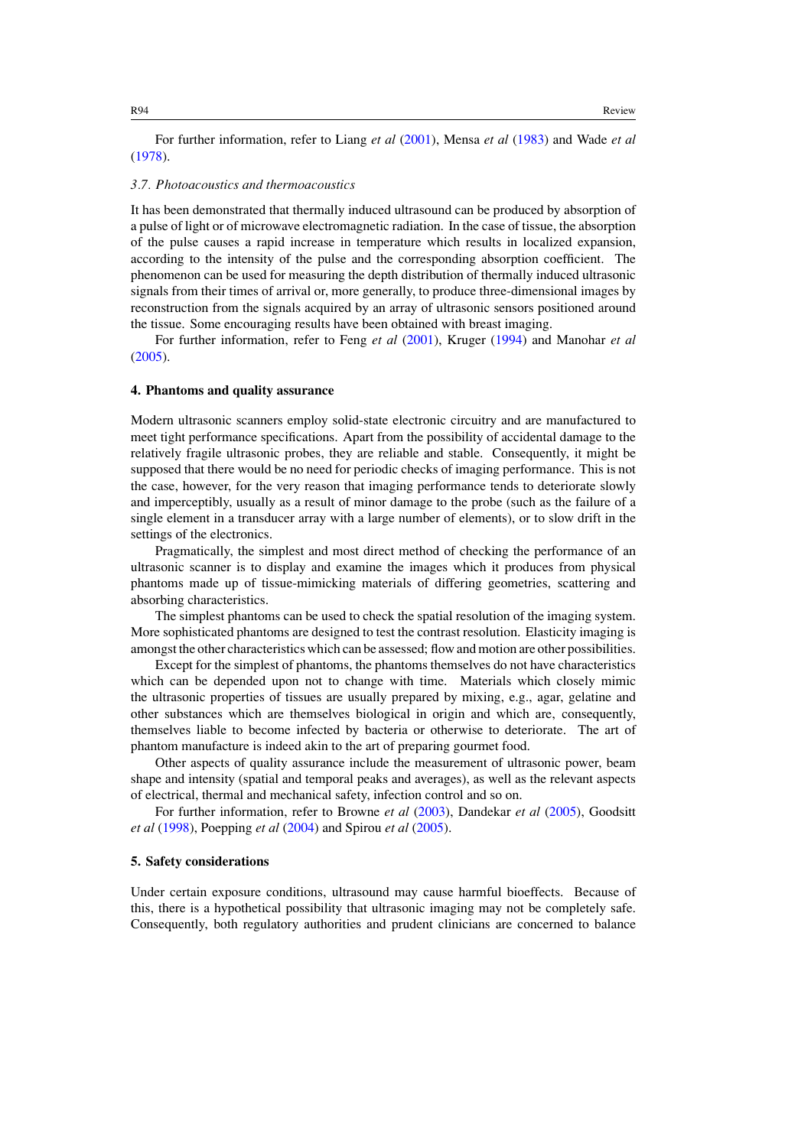For further information, refer to Liang *et al* [\(2001\)](#page-14-0), Mensa *et al* [\(1983](#page-14-0)) and Wade *et al* [\(1978](#page-15-0)).

# *3.7. Photoacoustics and thermoacoustics*

It has been demonstrated that thermally induced ultrasound can be produced by absorption of a pulse of light or of microwave electromagnetic radiation. In the case of tissue, the absorption of the pulse causes a rapid increase in temperature which results in localized expansion, according to the intensity of the pulse and the corresponding absorption coefficient. The phenomenon can be used for measuring the depth distribution of thermally induced ultrasonic signals from their times of arrival or, more generally, to produce three-dimensional images by reconstruction from the signals acquired by an array of ultrasonic sensors positioned around the tissue. Some encouraging results have been obtained with breast imaging.

For further information, refer to Feng *et al* [\(2001](#page-13-0)), Kruger [\(1994](#page-14-0)) and Manohar *et al* [\(2005](#page-14-0)).

## **4. Phantoms and quality assurance**

Modern ultrasonic scanners employ solid-state electronic circuitry and are manufactured to meet tight performance specifications. Apart from the possibility of accidental damage to the relatively fragile ultrasonic probes, they are reliable and stable. Consequently, it might be supposed that there would be no need for periodic checks of imaging performance. This is not the case, however, for the very reason that imaging performance tends to deteriorate slowly and imperceptibly, usually as a result of minor damage to the probe (such as the failure of a single element in a transducer array with a large number of elements), or to slow drift in the settings of the electronics.

Pragmatically, the simplest and most direct method of checking the performance of an ultrasonic scanner is to display and examine the images which it produces from physical phantoms made up of tissue-mimicking materials of differing geometries, scattering and absorbing characteristics.

The simplest phantoms can be used to check the spatial resolution of the imaging system. More sophisticated phantoms are designed to test the contrast resolution. Elasticity imaging is amongst the other characteristics which can be assessed; flow and motion are other possibilities.

Except for the simplest of phantoms, the phantoms themselves do not have characteristics which can be depended upon not to change with time. Materials which closely mimic the ultrasonic properties of tissues are usually prepared by mixing, e.g., agar, gelatine and other substances which are themselves biological in origin and which are, consequently, themselves liable to become infected by bacteria or otherwise to deteriorate. The art of phantom manufacture is indeed akin to the art of preparing gourmet food.

Other aspects of quality assurance include the measurement of ultrasonic power, beam shape and intensity (spatial and temporal peaks and averages), as well as the relevant aspects of electrical, thermal and mechanical safety, infection control and so on.

For further information, refer to Browne *et al* [\(2003\)](#page-13-0), Dandekar *et al* [\(2005\)](#page-13-0), Goodsitt *et al* [\(1998](#page-13-0)), Poepping *et al* [\(2004\)](#page-14-0) and Spirou *et al* [\(2005\)](#page-15-0).

## **5. Safety considerations**

Under certain exposure conditions, ultrasound may cause harmful bioeffects. Because of this, there is a hypothetical possibility that ultrasonic imaging may not be completely safe. Consequently, both regulatory authorities and prudent clinicians are concerned to balance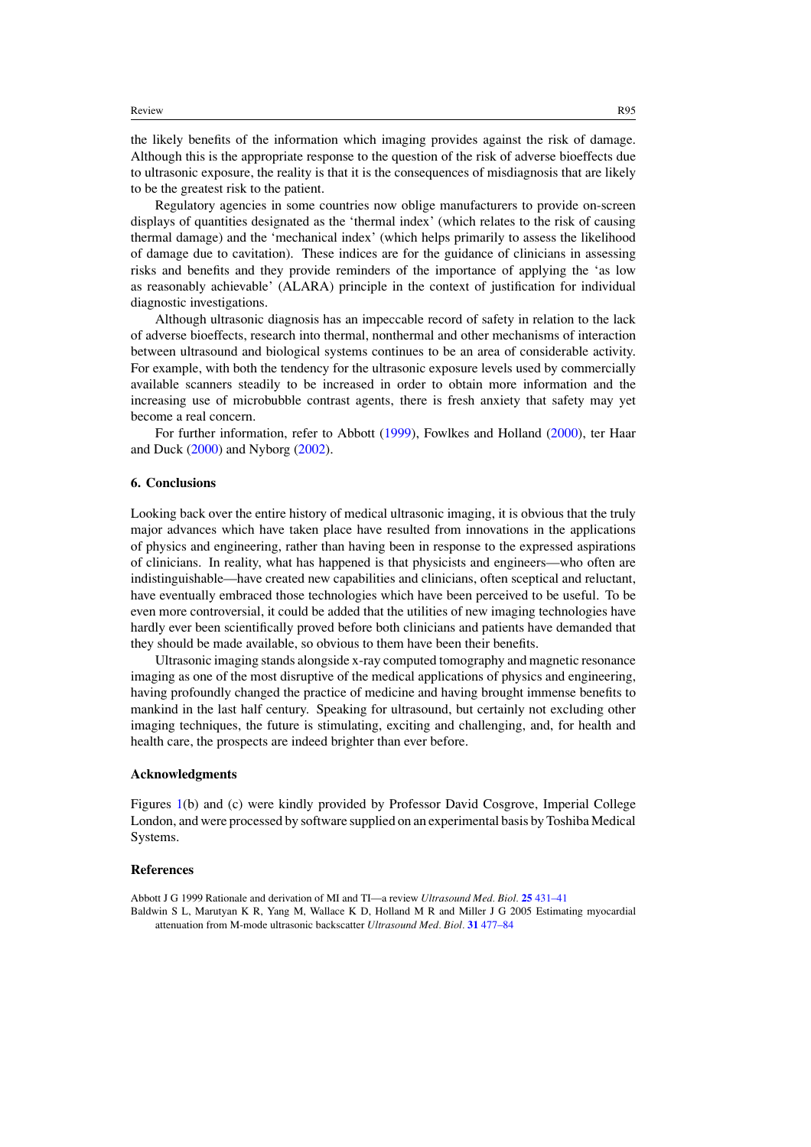<span id="page-12-0"></span>the likely benefits of the information which imaging provides against the risk of damage. Although this is the appropriate response to the question of the risk of adverse bioeffects due to ultrasonic exposure, the reality is that it is the consequences of misdiagnosis that are likely to be the greatest risk to the patient.

Regulatory agencies in some countries now oblige manufacturers to provide on-screen displays of quantities designated as the 'thermal index' (which relates to the risk of causing thermal damage) and the 'mechanical index' (which helps primarily to assess the likelihood of damage due to cavitation). These indices are for the guidance of clinicians in assessing risks and benefits and they provide reminders of the importance of applying the 'as low as reasonably achievable' (ALARA) principle in the context of justification for individual diagnostic investigations.

Although ultrasonic diagnosis has an impeccable record of safety in relation to the lack of adverse bioeffects, research into thermal, nonthermal and other mechanisms of interaction between ultrasound and biological systems continues to be an area of considerable activity. For example, with both the tendency for the ultrasonic exposure levels used by commercially available scanners steadily to be increased in order to obtain more information and the increasing use of microbubble contrast agents, there is fresh anxiety that safety may yet become a real concern.

For further information, refer to Abbott (1999), Fowlkes and Holland [\(2000](#page-13-0)), ter Haar and Duck [\(2000](#page-15-0)) and Nyborg [\(2002\)](#page-14-0).

# **6. Conclusions**

Looking back over the entire history of medical ultrasonic imaging, it is obvious that the truly major advances which have taken place have resulted from innovations in the applications of physics and engineering, rather than having been in response to the expressed aspirations of clinicians. In reality, what has happened is that physicists and engineers—who often are indistinguishable—have created new capabilities and clinicians, often sceptical and reluctant, have eventually embraced those technologies which have been perceived to be useful. To be even more controversial, it could be added that the utilities of new imaging technologies have hardly ever been scientifically proved before both clinicians and patients have demanded that they should be made available, so obvious to them have been their benefits.

Ultrasonic imaging stands alongside x-ray computed tomography and magnetic resonance imaging as one of the most disruptive of the medical applications of physics and engineering, having profoundly changed the practice of medicine and having brought immense benefits to mankind in the last half century. Speaking for ultrasound, but certainly not excluding other imaging techniques, the future is stimulating, exciting and challenging, and, for health and health care, the prospects are indeed brighter than ever before.

#### **Acknowledgments**

Figures [1\(](#page-2-0)b) and (c) were kindly provided by Professor David Cosgrove, Imperial College London, and were processed by software supplied on an experimental basis by Toshiba Medical Systems.

#### **References**

Abbott J G 1999 Rationale and derivation of MI and TI—a review *Ultrasound Med. Biol.* **25** [431–41](http://dx.doi.org/10.1016/S0301-5629(98)00172-0)

Baldwin S L, Marutyan K R, Yang M, Wallace K D, Holland M R and Miller J G 2005 Estimating myocardial attenuation from M-mode ultrasonic backscatter *Ultrasound Med. Biol.* **31** [477–84](http://dx.doi.org/10.1016/j.ultrasmedbio.2004.12.024)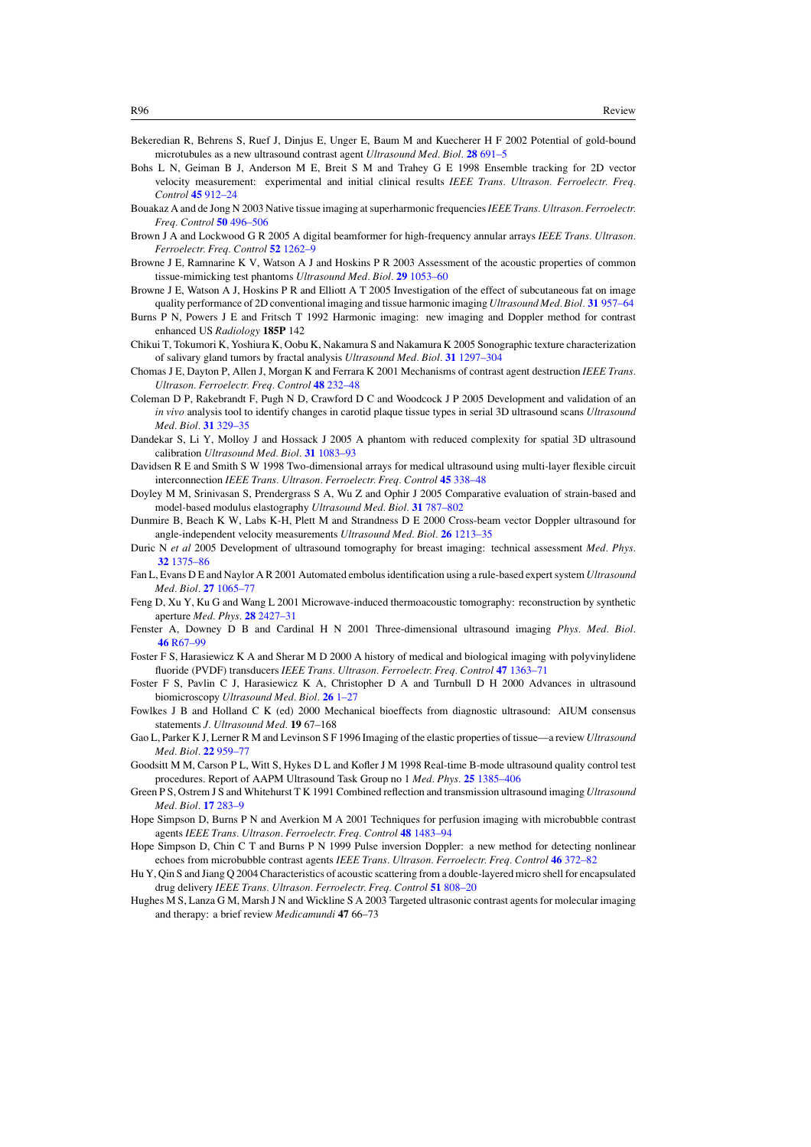- <span id="page-13-0"></span>Bekeredian R, Behrens S, Ruef J, Dinjus E, Unger E, Baum M and Kuecherer H F 2002 Potential of gold-bound microtubules as a new ultrasound contrast agent *Ultrasound Med. Biol.* **28** [691–5](http://dx.doi.org/10.1016/S0301-5629(02)00502-1)
- Bohs L N, Geiman B J, Anderson M E, Breit S M and Trahey G E 1998 Ensemble tracking for 2D vector velocity measurement: experimental and initial clinical results *IEEE Trans. Ultrason. Ferroelectr. Freq. Control* **45** [912–24](http://dx.doi.org/10.1109/58.710557)
- Bouakaz A and de Jong N 2003 Native tissue imaging at superharmonic frequencies*IEEE Trans. Ultrason. Ferroelectr. Freq. Control* **50** [496–506](http://dx.doi.org/10.1109/TUFFC.2003.1201462)
- Brown J A and Lockwood G R 2005 A digital beamformer for high-frequency annular arrays *IEEE Trans. Ultrason. Ferroelectr. Freq. Control* **52** [1262–9](http://dx.doi.org/10.1109/TUFFC.2005.1509785)
- Browne J E, Ramnarine K V, Watson A J and Hoskins P R 2003 Assessment of the acoustic properties of common tissue-mimicking test phantoms *Ultrasound Med. Biol.* **29** [1053–60](http://dx.doi.org/10.1016/S0301-5629(03)00053-X)
- Browne J E, Watson A J, Hoskins P R and Elliott A T 2005 Investigation of the effect of subcutaneous fat on image quality performance of 2D conventional imaging and tissue harmonic imaging *Ultrasound Med. Biol.* **31** [957–64](http://dx.doi.org/10.1016/j.ultrasmedbio.2005.03.012)
- Burns P N, Powers J E and Fritsch T 1992 Harmonic imaging: new imaging and Doppler method for contrast enhanced US *Radiology* **185P** 142
- Chikui T, Tokumori K, Yoshiura K, Oobu K, Nakamura S and Nakamura K 2005 Sonographic texture characterization of salivary gland tumors by fractal analysis *Ultrasound Med. Biol.* **31** [1297–304](http://dx.doi.org/10.1016/j.ultrasmedbio.2005.05.012)
- Chomas J E, Dayton P, Allen J, Morgan K and Ferrara K 2001 Mechanisms of contrast agent destruction *IEEE Trans. Ultrason. Ferroelectr. Freq. Control* **48** [232–48](http://dx.doi.org/10.1109/58.896136)
- Coleman D P, Rakebrandt F, Pugh N D, Crawford D C and Woodcock J P 2005 Development and validation of an *in vivo* analysis tool to identify changes in carotid plaque tissue types in serial 3D ultrasound scans *Ultrasound Med. Biol.* **31** [329–35](http://dx.doi.org/10.1016/j.ultrasmedbio.2004.12.019)
- Dandekar S, Li Y, Molloy J and Hossack J 2005 A phantom with reduced complexity for spatial 3D ultrasound calibration *Ultrasound Med. Biol.* **31** [1083–93](http://dx.doi.org/10.1016/j.ultrasmedbio.2005.04.008)
- Davidsen R E and Smith S W 1998 Two-dimensional arrays for medical ultrasound using multi-layer flexible circuit interconnection *IEEE Trans. Ultrason. Ferroelectr. Freq. Control* **45** [338–48](http://dx.doi.org/10.1109/58.660144)
- Doyley M M, Srinivasan S, Prendergrass S A, Wu Z and Ophir J 2005 Comparative evaluation of strain-based and model-based modulus elastography *Ultrasound Med. Biol.* **31** [787–802](http://dx.doi.org/10.1016/j.ultrasmedbio.2005.02.005)
- Dunmire B, Beach K W, Labs K-H, Plett M and Strandness D E 2000 Cross-beam vector Doppler ultrasound for angle-independent velocity measurements *Ultrasound Med. Biol.* **26** [1213–35](http://dx.doi.org/10.1016/S0301-5629(00)00287-8)
- Duric N *et al* 2005 Development of ultrasound tomography for breast imaging: technical assessment *Med. Phys.* **32** [1375–86](http://dx.doi.org/10.1118/1.1897463)
- Fan L, Evans D E and Naylor A R 2001 Automated embolus identification using a rule-based expert system *Ultrasound Med. Biol.* **27** [1065–77](http://dx.doi.org/10.1016/S0301-5629(01)00414-8)
- Feng D, Xu Y, Ku G and Wang L 2001 Microwave-induced thermoacoustic tomography: reconstruction by synthetic aperture *Med. Phys.* **28** [2427–31](http://dx.doi.org/10.1118/1.1418015)
- Fenster A, Downey D B and Cardinal H N 2001 Three-dimensional ultrasound imaging *Phys. Med. Biol.* **46** [R67–99](http://dx.doi.org/10.1088/0031-9155/46/5/201)
- Foster F S, Harasiewicz K A and Sherar M D 2000 A history of medical and biological imaging with polyvinylidene fluoride (PVDF) transducers *IEEE Trans. Ultrason. Ferroelectr. Freq. Control* **47** [1363–71](http://dx.doi.org/10.1109/58.883525)
- Foster F S, Pavlin C J, Harasiewicz K A, Christopher D A and Turnbull D H 2000 Advances in ultrasound biomicroscopy *Ultrasound Med. Biol.* **26** [1–27](http://dx.doi.org/10.1016/S0301-5629(99)00096-4)
- Fowlkes J B and Holland C K (ed) 2000 Mechanical bioeffects from diagnostic ultrasound: AIUM consensus statements *J. Ultrasound Med.* **19** 67–168
- Gao L, Parker K J, Lerner R M and Levinson S F 1996 Imaging of the elastic properties of tissue—a review *Ultrasound Med. Biol.* **22** [959–77](http://dx.doi.org/10.1016/S0301-5629(96)00120-2)
- Goodsitt M M, Carson P L, Witt S, Hykes D L and Kofler J M 1998 Real-time B-mode ultrasound quality control test procedures. Report of AAPM Ultrasound Task Group no 1 *Med. Phys.* **25** [1385–406](http://dx.doi.org/10.1118/1.598404)
- Green P S, Ostrem J S and Whitehurst T K 1991 Combined reflection and transmission ultrasound imaging *Ultrasound Med. Biol.* **17** [283–9](http://dx.doi.org/10.1016/0301-5629(91)90049-3)
- Hope Simpson D, Burns P N and Averkion M A 2001 Techniques for perfusion imaging with microbubble contrast agents *IEEE Trans. Ultrason. Ferroelectr. Freq. Control* **48** [1483–94](http://dx.doi.org/10.1109/58.971698)
- Hope Simpson D, Chin C T and Burns P N 1999 Pulse inversion Doppler: a new method for detecting nonlinear echoes from microbubble contrast agents *IEEE Trans. Ultrason. Ferroelectr. Freq. Control* **46** [372–82](http://dx.doi.org/10.1109/58.753026)
- Hu Y, Qin S and Jiang Q 2004 Characteristics of acoustic scattering from a double-layered micro shell for encapsulated drug delivery *IEEE Trans. Ultrason. Ferroelectr. Freq. Control* **51** [808–20](http://dx.doi.org/10.1109/TUFFC.2004.1320740)
- Hughes M S, Lanza G M, Marsh J N and Wickline S A 2003 Targeted ultrasonic contrast agents for molecular imaging and therapy: a brief review *Medicamundi* **47** 66–73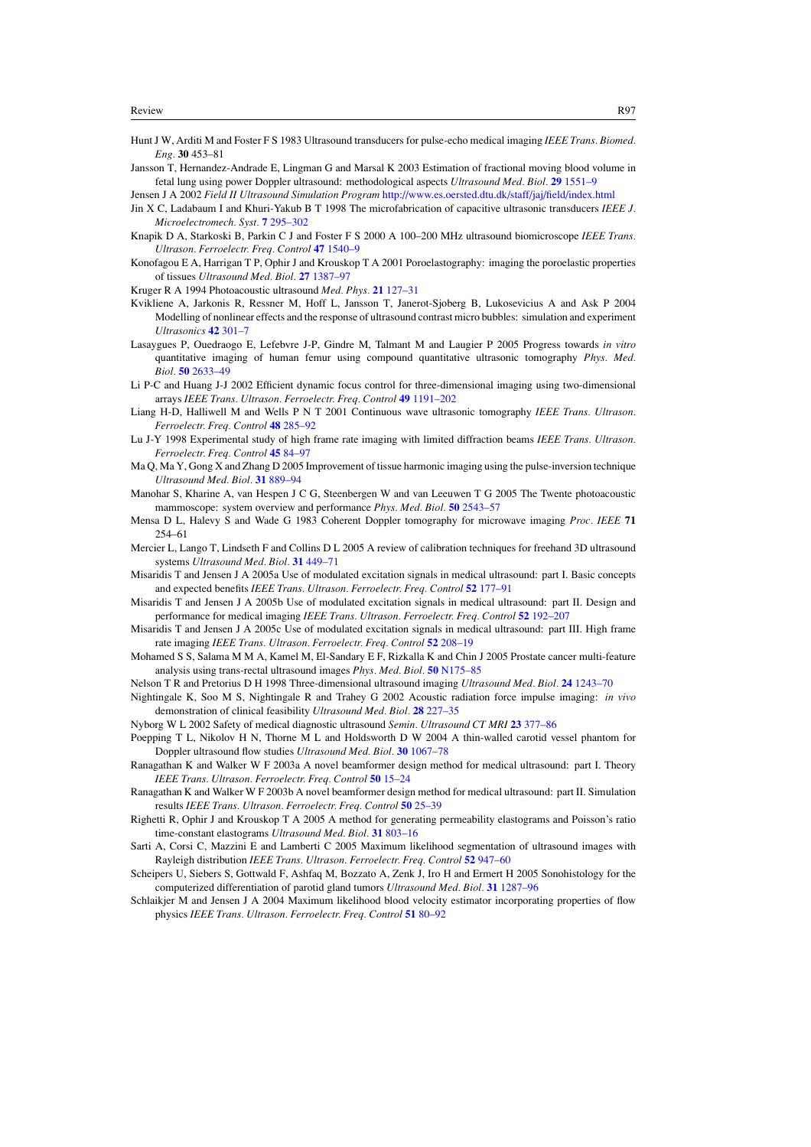- <span id="page-14-0"></span>Hunt J W, Arditi M and Foster F S 1983 Ultrasound transducers for pulse-echo medical imaging *IEEE Trans. Biomed. Eng.* **30** 453–81
- Jansson T, Hernandez-Andrade E, Lingman G and Marsal K 2003 Estimation of fractional moving blood volume in fetal lung using power Doppler ultrasound: methodological aspects *Ultrasound Med. Biol.* **29** [1551–9](http://dx.doi.org/10.1016/S0301-5629(03)01050-0)
- Jensen J A 2002 *Field II Ultrasound Simulation Program* <http://www.es.oersted.dtu.dk/staff/jaj/field/index.html>
- Jin X C, Ladabaum I and Khuri-Yakub B T 1998 The microfabrication of capacitive ultrasonic transducers *IEEE J. Microelectromech. Syst.* **7** [295–302](http://dx.doi.org/10.1109/84.709646)
- Knapik D A, Starkoski B, Parkin C J and Foster F S 2000 A 100–200 MHz ultrasound biomicroscope *IEEE Trans. Ultrason. Ferroelectr. Freq. Control* **47** [1540–9](http://dx.doi.org/10.1109/58.883543)
- Konofagou E A, Harrigan T P, Ophir J and Krouskop T A 2001 Poroelastography: imaging the poroelastic properties of tissues *Ultrasound Med. Biol.* **27** [1387–97](http://dx.doi.org/10.1016/S0301-5629(01)00433-1)

Kruger R A 1994 Photoacoustic ultrasound *Med. Phys.* **21** [127–31](http://dx.doi.org/10.1118/1.597367)

- Kvikliene A, Jarkonis R, Ressner M, Hoff L, Jansson T, Janerot-Sjoberg B, Lukosevicius A and Ask P 2004 Modelling of nonlinear effects and the response of ultrasound contrast micro bubbles: simulation and experiment *Ultrasonics* **42** [301–7](http://dx.doi.org/10.1016/j.ultras.2004.01.023)
- Lasaygues P, Ouedraogo E, Lefebvre J-P, Gindre M, Talmant M and Laugier P 2005 Progress towards *in vitro* quantitative imaging of human femur using compound quantitative ultrasonic tomography *Phys. Med. Biol.* **50** [2633–49](http://dx.doi.org/10.1088/0031-9155/50/11/013)
- Li P-C and Huang J-J 2002 Efficient dynamic focus control for three-dimensional imaging using two-dimensional arrays *IEEE Trans. Ultrason. Ferroelectr. Freq. Control* **49** [1191–202](http://dx.doi.org/10.1109/TUFFC.2002.1159849)
- Liang H-D, Halliwell M and Wells P N T 2001 Continuous wave ultrasonic tomography *IEEE Trans. Ultrason. Ferroelectr. Freq. Control* **48** [285–92](http://dx.doi.org/10.1109/58.896141)
- Lu J-Y 1998 Experimental study of high frame rate imaging with limited diffraction beams *IEEE Trans. Ultrason. Ferroelectr. Freq. Control* **45** [84–97](http://dx.doi.org/10.1109/58.646914)
- Ma Q, Ma Y, Gong X and Zhang D 2005 Improvement of tissue harmonic imaging using the pulse-inversion technique *Ultrasound Med. Biol.* **31** [889–94](http://dx.doi.org/10.1016/j.ultrasmedbio.2005.03.006)
- Manohar S, Kharine A, van Hespen J C G, Steenbergen W and van Leeuwen T G 2005 The Twente photoacoustic mammoscope: system overview and performance *Phys. Med. Biol.* **50** [2543–57](http://dx.doi.org/10.1088/0031-9155/50/11/007)
- Mensa D L, Halevy S and Wade G 1983 Coherent Doppler tomography for microwave imaging *Proc. IEEE* **71** 254–61
- Mercier L, Lango T, Lindseth F and Collins D L 2005 A review of calibration techniques for freehand 3D ultrasound systems *Ultrasound Med. Biol.* **31** [449–71](http://dx.doi.org/10.1016/j.ultrasmedbio.2004.11.015)
- Misaridis T and Jensen J A 2005a Use of modulated excitation signals in medical ultrasound: part I. Basic concepts and expected benefits *IEEE Trans. Ultrason. Ferroelectr. Freq. Control* **52** [177–91](http://dx.doi.org/10.1109/TUFFC.2005.1406545)
- Misaridis T and Jensen J A 2005b Use of modulated excitation signals in medical ultrasound: part II. Design and performance for medical imaging *IEEE Trans. Ultrason. Ferroelectr. Freq. Control* **52** [192–207](http://dx.doi.org/10.1109/TUFFC.2005.1406546)
- Misaridis T and Jensen J A 2005c Use of modulated excitation signals in medical ultrasound: part III. High frame rate imaging *IEEE Trans. Ultrason. Ferroelectr. Freq. Control* **52** [208–19](http://dx.doi.org/10.1109/TUFFC.2005.1406547)
- Mohamed S S, Salama M M A, Kamel M, El-Sandary E F, Rizkalla K and Chin J 2005 Prostate cancer multi-feature analysis using trans-rectal ultrasound images *Phys. Med. Biol.* **50** [N175–85](http://dx.doi.org/10.1088/0031-9155/50/15/N02)
- Nelson T R and Pretorius D H 1998 Three-dimensional ultrasound imaging *Ultrasound Med. Biol.* **24** [1243–70](http://dx.doi.org/10.1016/S0301-5629(98)00043-X)
- Nightingale K, Soo M S, Nightingale R and Trahey G 2002 Acoustic radiation force impulse imaging: *in vivo* demonstration of clinical feasibility *Ultrasound Med. Biol.* **28** [227–35](http://dx.doi.org/10.1016/S0301-5629(01)00499-9)
- Nyborg W L 2002 Safety of medical diagnostic ultrasound *Semin. Ultrasound CT MRI* **23** [377–86](http://dx.doi.org/10.1016/S0887-2171(02)90008-9)
- Poepping T L, Nikolov H N, Thorne M L and Holdsworth D W 2004 A thin-walled carotid vessel phantom for Doppler ultrasound flow studies *Ultrasound Med. Biol.* **30** [1067–78](http://dx.doi.org/10.1016/j.ultrasmedbio.2004.06.003)
- Ranagathan K and Walker W F 2003a A novel beamformer design method for medical ultrasound: part I. Theory *IEEE Trans. Ultrason. Ferroelectr. Freq. Control* **50** [15–24](http://dx.doi.org/10.1109/TUFFC.2003.1176522)
- Ranagathan K and Walker W F 2003b A novel beamformer design method for medical ultrasound: part II. Simulation results *IEEE Trans. Ultrason. Ferroelectr. Freq. Control* **50** [25–39](http://dx.doi.org/10.1109/TUFFC.2003.1176523)
- Righetti R, Ophir J and Krouskop T A 2005 A method for generating permeability elastograms and Poisson's ratio time-constant elastograms *Ultrasound Med. Biol.* **31** [803–16](http://dx.doi.org/10.1016/j.ultrasmedbio.2005.02.004)
- Sarti A, Corsi C, Mazzini E and Lamberti C 2005 Maximum likelihood segmentation of ultrasound images with Rayleigh distribution *IEEE Trans. Ultrason. Ferroelectr. Freq. Control* **52** [947–60](http://dx.doi.org/10.1109/TUFFC.2005.1504017)
- Scheipers U, Siebers S, Gottwald F, Ashfaq M, Bozzato A, Zenk J, Iro H and Ermert H 2005 Sonohistology for the computerized differentiation of parotid gland tumors *Ultrasound Med. Biol.* **31** [1287–96](http://dx.doi.org/10.1016/j.ultrasmedbio.2005.06.011)
- Schlaikjer M and Jensen J A 2004 Maximum likelihood blood velocity estimator incorporating properties of flow physics *IEEE Trans. Ultrason. Ferroelectr. Freq. Control* **51** [80–92](http://dx.doi.org/10.1109/TUFFC.2004.1268470)